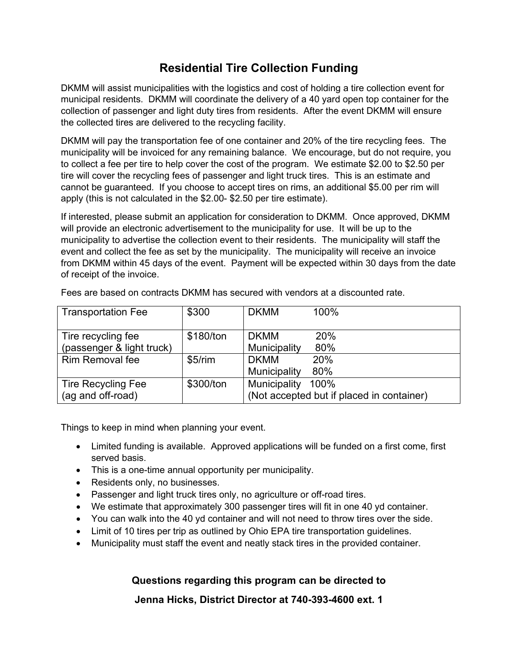## **Residential Tire Collection Funding**

DKMM will assist municipalities with the logistics and cost of holding a tire collection event for municipal residents. DKMM will coordinate the delivery of a 40 yard open top container for the collection of passenger and light duty tires from residents. After the event DKMM will ensure the collected tires are delivered to the recycling facility.

DKMM will pay the transportation fee of one container and 20% of the tire recycling fees. The municipality will be invoiced for any remaining balance. We encourage, but do not require, you to collect a fee per tire to help cover the cost of the program. We estimate \$2.00 to \$2.50 per tire will cover the recycling fees of passenger and light truck tires. This is an estimate and cannot be guaranteed. If you choose to accept tires on rims, an additional \$5.00 per rim will apply (this is not calculated in the \$2.00- \$2.50 per tire estimate).

If interested, please submit an application for consideration to DKMM. Once approved, DKMM will provide an electronic advertisement to the municipality for use. It will be up to the municipality to advertise the collection event to their residents. The municipality will staff the event and collect the fee as set by the municipality. The municipality will receive an invoice from DKMM within 45 days of the event. Payment will be expected within 30 days from the date of receipt of the invoice.

| <b>Transportation Fee</b>                       | \$300     | <b>DKMM</b>                 | $100\%$                                           |
|-------------------------------------------------|-----------|-----------------------------|---------------------------------------------------|
| Tire recycling fee<br>(passenger & light truck) | \$180/ton | <b>DKMM</b><br>Municipality | <b>20%</b><br>80%                                 |
| <b>Rim Removal fee</b>                          | \$5/rim   | <b>DKMM</b><br>Municipality | 20%<br>80%                                        |
| <b>Tire Recycling Fee</b><br>(ag and off-road)  | \$300/ton | Municipality                | 100%<br>(Not accepted but if placed in container) |

Fees are based on contracts DKMM has secured with vendors at a discounted rate.

Things to keep in mind when planning your event.

- Limited funding is available. Approved applications will be funded on a first come, first served basis.
- This is a one-time annual opportunity per municipality.
- Residents only, no businesses.
- Passenger and light truck tires only, no agriculture or off-road tires.
- We estimate that approximately 300 passenger tires will fit in one 40 yd container.
- You can walk into the 40 yd container and will not need to throw tires over the side.
- Limit of 10 tires per trip as outlined by Ohio EPA tire transportation guidelines.
- Municipality must staff the event and neatly stack tires in the provided container.

**Questions regarding this program can be directed to**

**Jenna Hicks, District Director at 740-393-4600 ext. 1**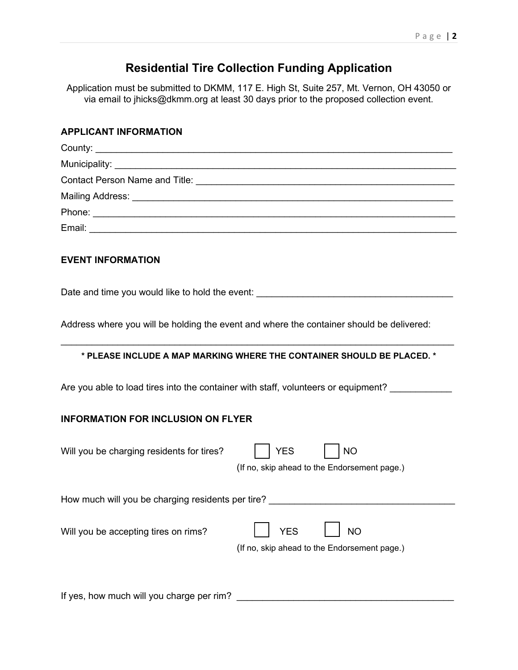## **Residential Tire Collection Funding Application**

Application must be submitted to DKMM, 117 E. High St, Suite 257, Mt. Vernon, OH 43050 or via email to jhicks@dkmm.org at least 30 days prior to the proposed collection event.

| <b>APPLICANT INFORMATION</b>                                                                                         |  |  |  |  |  |  |
|----------------------------------------------------------------------------------------------------------------------|--|--|--|--|--|--|
|                                                                                                                      |  |  |  |  |  |  |
|                                                                                                                      |  |  |  |  |  |  |
|                                                                                                                      |  |  |  |  |  |  |
|                                                                                                                      |  |  |  |  |  |  |
|                                                                                                                      |  |  |  |  |  |  |
|                                                                                                                      |  |  |  |  |  |  |
| <b>EVENT INFORMATION</b>                                                                                             |  |  |  |  |  |  |
| Date and time you would like to hold the event: ________________________________                                     |  |  |  |  |  |  |
| Address where you will be holding the event and where the container should be delivered:                             |  |  |  |  |  |  |
| * PLEASE INCLUDE A MAP MARKING WHERE THE CONTAINER SHOULD BE PLACED. *                                               |  |  |  |  |  |  |
| Are you able to load tires into the container with staff, volunteers or equipment?                                   |  |  |  |  |  |  |
| <b>INFORMATION FOR INCLUSION ON FLYER</b>                                                                            |  |  |  |  |  |  |
| Will you be charging residents for tires?<br><b>YES</b><br><b>NO</b><br>(If no, skip ahead to the Endorsement page.) |  |  |  |  |  |  |
| How much will you be charging residents per tire?                                                                    |  |  |  |  |  |  |
| <b>YES</b><br><b>NO</b><br>Will you be accepting tires on rims?<br>(If no, skip ahead to the Endorsement page.)      |  |  |  |  |  |  |
|                                                                                                                      |  |  |  |  |  |  |

If yes, how much will you charge per rim? \_\_\_\_\_\_\_\_\_\_\_\_\_\_\_\_\_\_\_\_\_\_\_\_\_\_\_\_\_\_\_\_\_\_\_\_\_\_\_\_\_\_